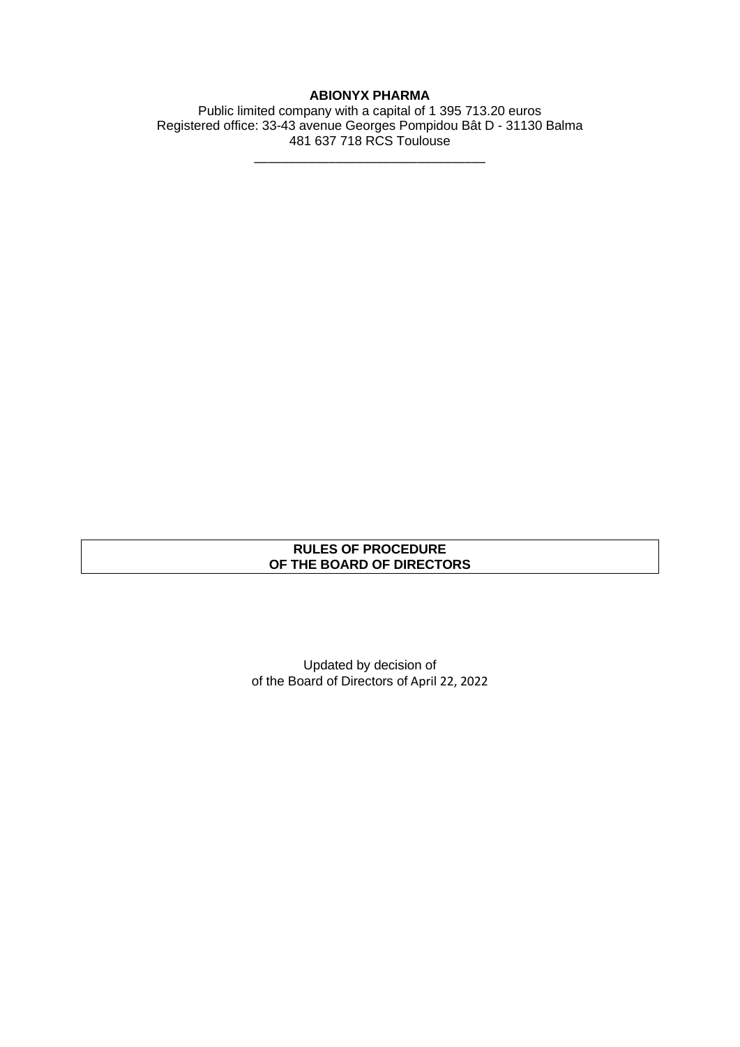# **ABIONYX PHARMA**

Public limited company with a capital of 1 395 713.20 euros Registered office: 33-43 avenue Georges Pompidou Bât D - 31130 Balma 481 637 718 RCS Toulouse

\_\_\_\_\_\_\_\_\_\_\_\_\_\_\_\_\_\_\_\_\_\_\_\_\_\_\_\_\_\_\_\_\_\_

## **RULES OF PROCEDURE OF THE BOARD OF DIRECTORS**

Updated by decision of of the Board of Directors of April 22, 2022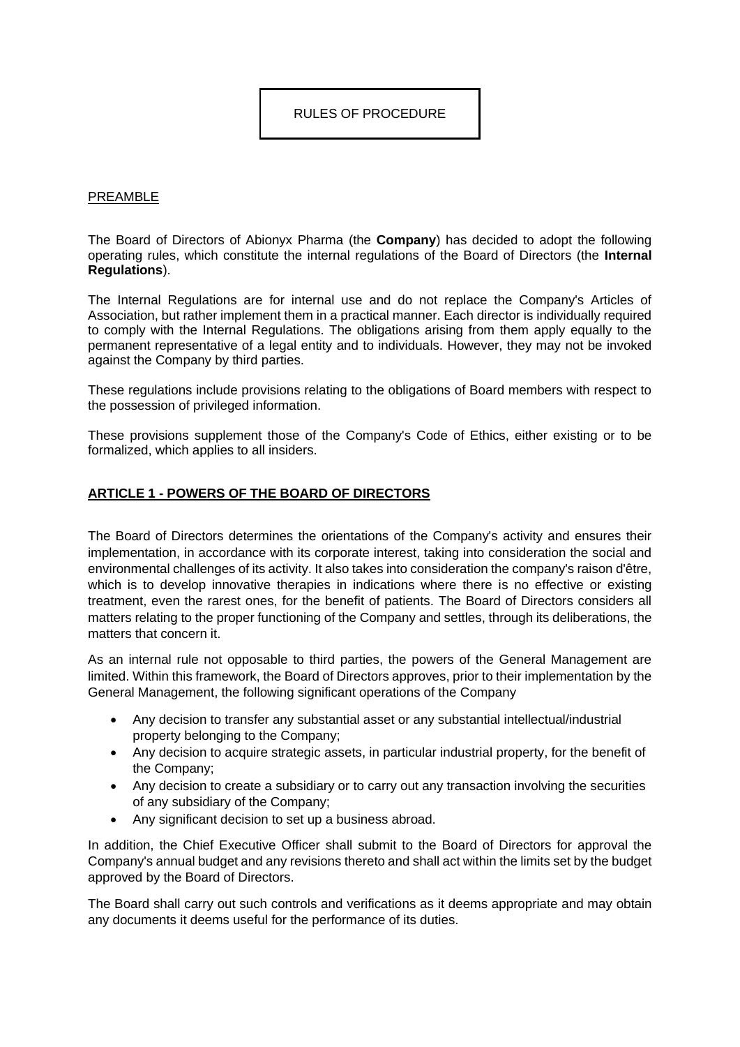## RULES OF PROCEDURE

### **PREAMBLE**

The Board of Directors of Abionyx Pharma (the **Company**) has decided to adopt the following operating rules, which constitute the internal regulations of the Board of Directors (the **Internal Regulations**).

The Internal Regulations are for internal use and do not replace the Company's Articles of Association, but rather implement them in a practical manner. Each director is individually required to comply with the Internal Regulations. The obligations arising from them apply equally to the permanent representative of a legal entity and to individuals. However, they may not be invoked against the Company by third parties.

These regulations include provisions relating to the obligations of Board members with respect to the possession of privileged information.

These provisions supplement those of the Company's Code of Ethics, either existing or to be formalized, which applies to all insiders.

## **ARTICLE 1 - POWERS OF THE BOARD OF DIRECTORS**

The Board of Directors determines the orientations of the Company's activity and ensures their implementation, in accordance with its corporate interest, taking into consideration the social and environmental challenges of its activity. It also takes into consideration the company's raison d'être, which is to develop innovative therapies in indications where there is no effective or existing treatment, even the rarest ones, for the benefit of patients. The Board of Directors considers all matters relating to the proper functioning of the Company and settles, through its deliberations, the matters that concern it.

As an internal rule not opposable to third parties, the powers of the General Management are limited. Within this framework, the Board of Directors approves, prior to their implementation by the General Management, the following significant operations of the Company

- Any decision to transfer any substantial asset or any substantial intellectual/industrial property belonging to the Company;
- Any decision to acquire strategic assets, in particular industrial property, for the benefit of the Company;
- Any decision to create a subsidiary or to carry out any transaction involving the securities of any subsidiary of the Company;
- Any significant decision to set up a business abroad.

In addition, the Chief Executive Officer shall submit to the Board of Directors for approval the Company's annual budget and any revisions thereto and shall act within the limits set by the budget approved by the Board of Directors.

The Board shall carry out such controls and verifications as it deems appropriate and may obtain any documents it deems useful for the performance of its duties.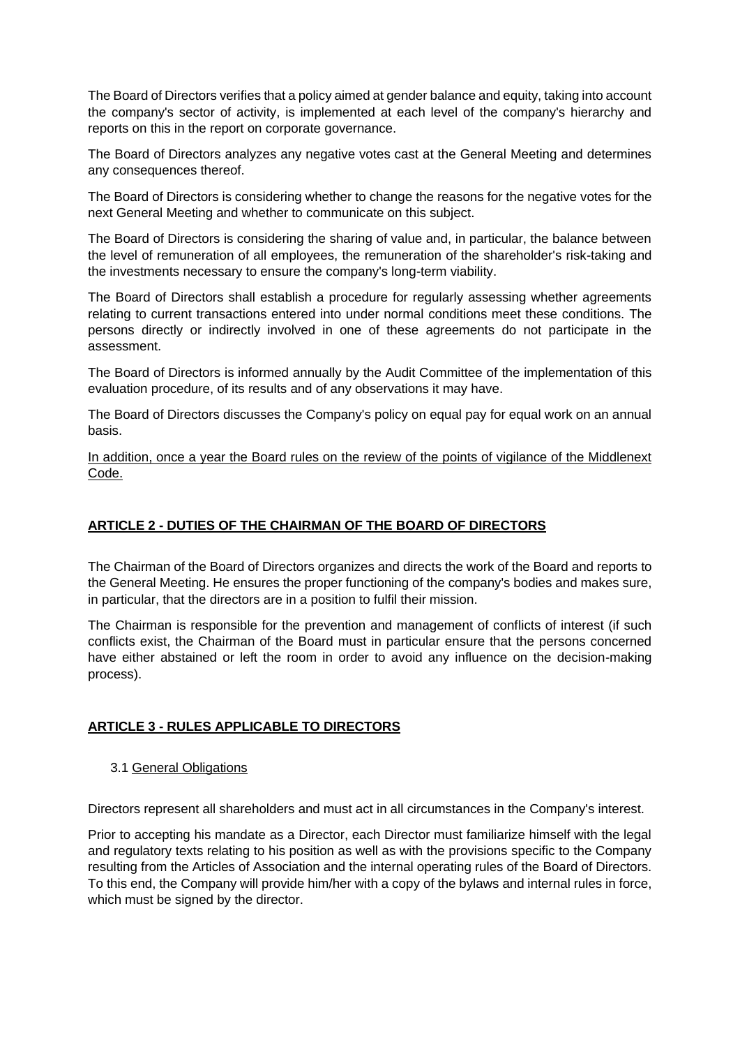The Board of Directors verifies that a policy aimed at gender balance and equity, taking into account the company's sector of activity, is implemented at each level of the company's hierarchy and reports on this in the report on corporate governance.

The Board of Directors analyzes any negative votes cast at the General Meeting and determines any consequences thereof.

The Board of Directors is considering whether to change the reasons for the negative votes for the next General Meeting and whether to communicate on this subject.

The Board of Directors is considering the sharing of value and, in particular, the balance between the level of remuneration of all employees, the remuneration of the shareholder's risk-taking and the investments necessary to ensure the company's long-term viability.

The Board of Directors shall establish a procedure for regularly assessing whether agreements relating to current transactions entered into under normal conditions meet these conditions. The persons directly or indirectly involved in one of these agreements do not participate in the assessment.

The Board of Directors is informed annually by the Audit Committee of the implementation of this evaluation procedure, of its results and of any observations it may have.

The Board of Directors discusses the Company's policy on equal pay for equal work on an annual basis.

In addition, once a year the Board rules on the review of the points of vigilance of the Middlenext Code.

# **ARTICLE 2 - DUTIES OF THE CHAIRMAN OF THE BOARD OF DIRECTORS**

The Chairman of the Board of Directors organizes and directs the work of the Board and reports to the General Meeting. He ensures the proper functioning of the company's bodies and makes sure, in particular, that the directors are in a position to fulfil their mission.

The Chairman is responsible for the prevention and management of conflicts of interest (if such conflicts exist, the Chairman of the Board must in particular ensure that the persons concerned have either abstained or left the room in order to avoid any influence on the decision-making process).

# **ARTICLE 3 - RULES APPLICABLE TO DIRECTORS**

## 3.1 General Obligations

Directors represent all shareholders and must act in all circumstances in the Company's interest.

Prior to accepting his mandate as a Director, each Director must familiarize himself with the legal and regulatory texts relating to his position as well as with the provisions specific to the Company resulting from the Articles of Association and the internal operating rules of the Board of Directors. To this end, the Company will provide him/her with a copy of the bylaws and internal rules in force, which must be signed by the director.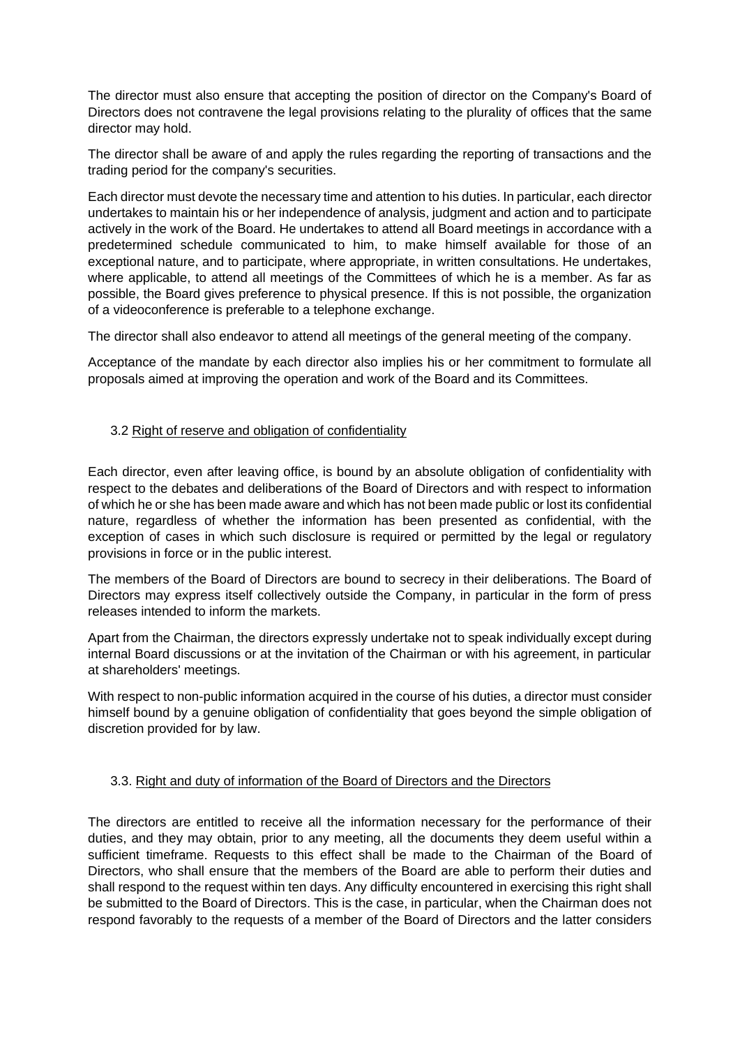The director must also ensure that accepting the position of director on the Company's Board of Directors does not contravene the legal provisions relating to the plurality of offices that the same director may hold.

The director shall be aware of and apply the rules regarding the reporting of transactions and the trading period for the company's securities.

Each director must devote the necessary time and attention to his duties. In particular, each director undertakes to maintain his or her independence of analysis, judgment and action and to participate actively in the work of the Board. He undertakes to attend all Board meetings in accordance with a predetermined schedule communicated to him, to make himself available for those of an exceptional nature, and to participate, where appropriate, in written consultations. He undertakes, where applicable, to attend all meetings of the Committees of which he is a member. As far as possible, the Board gives preference to physical presence. If this is not possible, the organization of a videoconference is preferable to a telephone exchange.

The director shall also endeavor to attend all meetings of the general meeting of the company.

Acceptance of the mandate by each director also implies his or her commitment to formulate all proposals aimed at improving the operation and work of the Board and its Committees.

# 3.2 Right of reserve and obligation of confidentiality

Each director, even after leaving office, is bound by an absolute obligation of confidentiality with respect to the debates and deliberations of the Board of Directors and with respect to information of which he or she has been made aware and which has not been made public or lost its confidential nature, regardless of whether the information has been presented as confidential, with the exception of cases in which such disclosure is required or permitted by the legal or regulatory provisions in force or in the public interest.

The members of the Board of Directors are bound to secrecy in their deliberations. The Board of Directors may express itself collectively outside the Company, in particular in the form of press releases intended to inform the markets.

Apart from the Chairman, the directors expressly undertake not to speak individually except during internal Board discussions or at the invitation of the Chairman or with his agreement, in particular at shareholders' meetings.

With respect to non-public information acquired in the course of his duties, a director must consider himself bound by a genuine obligation of confidentiality that goes beyond the simple obligation of discretion provided for by law.

## 3.3. Right and duty of information of the Board of Directors and the Directors

The directors are entitled to receive all the information necessary for the performance of their duties, and they may obtain, prior to any meeting, all the documents they deem useful within a sufficient timeframe. Requests to this effect shall be made to the Chairman of the Board of Directors, who shall ensure that the members of the Board are able to perform their duties and shall respond to the request within ten days. Any difficulty encountered in exercising this right shall be submitted to the Board of Directors. This is the case, in particular, when the Chairman does not respond favorably to the requests of a member of the Board of Directors and the latter considers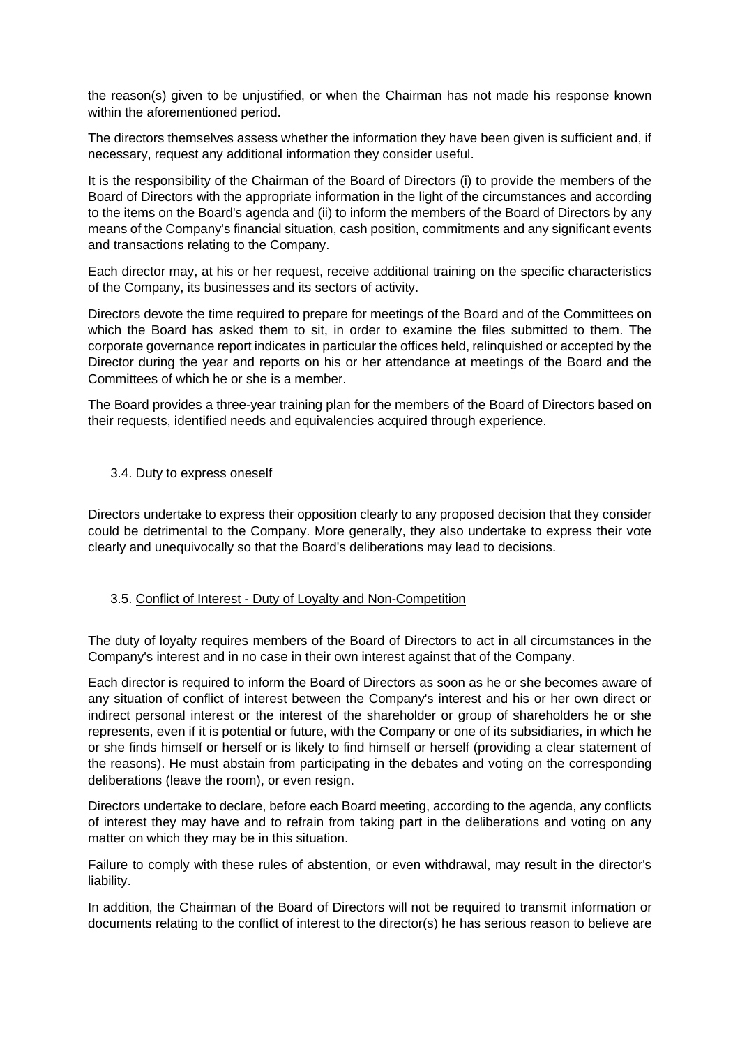the reason(s) given to be unjustified, or when the Chairman has not made his response known within the aforementioned period.

The directors themselves assess whether the information they have been given is sufficient and, if necessary, request any additional information they consider useful.

It is the responsibility of the Chairman of the Board of Directors (i) to provide the members of the Board of Directors with the appropriate information in the light of the circumstances and according to the items on the Board's agenda and (ii) to inform the members of the Board of Directors by any means of the Company's financial situation, cash position, commitments and any significant events and transactions relating to the Company.

Each director may, at his or her request, receive additional training on the specific characteristics of the Company, its businesses and its sectors of activity.

Directors devote the time required to prepare for meetings of the Board and of the Committees on which the Board has asked them to sit, in order to examine the files submitted to them. The corporate governance report indicates in particular the offices held, relinquished or accepted by the Director during the year and reports on his or her attendance at meetings of the Board and the Committees of which he or she is a member.

The Board provides a three-year training plan for the members of the Board of Directors based on their requests, identified needs and equivalencies acquired through experience.

## 3.4. Duty to express oneself

Directors undertake to express their opposition clearly to any proposed decision that they consider could be detrimental to the Company. More generally, they also undertake to express their vote clearly and unequivocally so that the Board's deliberations may lead to decisions.

## 3.5. Conflict of Interest - Duty of Loyalty and Non-Competition

The duty of loyalty requires members of the Board of Directors to act in all circumstances in the Company's interest and in no case in their own interest against that of the Company.

Each director is required to inform the Board of Directors as soon as he or she becomes aware of any situation of conflict of interest between the Company's interest and his or her own direct or indirect personal interest or the interest of the shareholder or group of shareholders he or she represents, even if it is potential or future, with the Company or one of its subsidiaries, in which he or she finds himself or herself or is likely to find himself or herself (providing a clear statement of the reasons). He must abstain from participating in the debates and voting on the corresponding deliberations (leave the room), or even resign.

Directors undertake to declare, before each Board meeting, according to the agenda, any conflicts of interest they may have and to refrain from taking part in the deliberations and voting on any matter on which they may be in this situation.

Failure to comply with these rules of abstention, or even withdrawal, may result in the director's liability.

In addition, the Chairman of the Board of Directors will not be required to transmit information or documents relating to the conflict of interest to the director(s) he has serious reason to believe are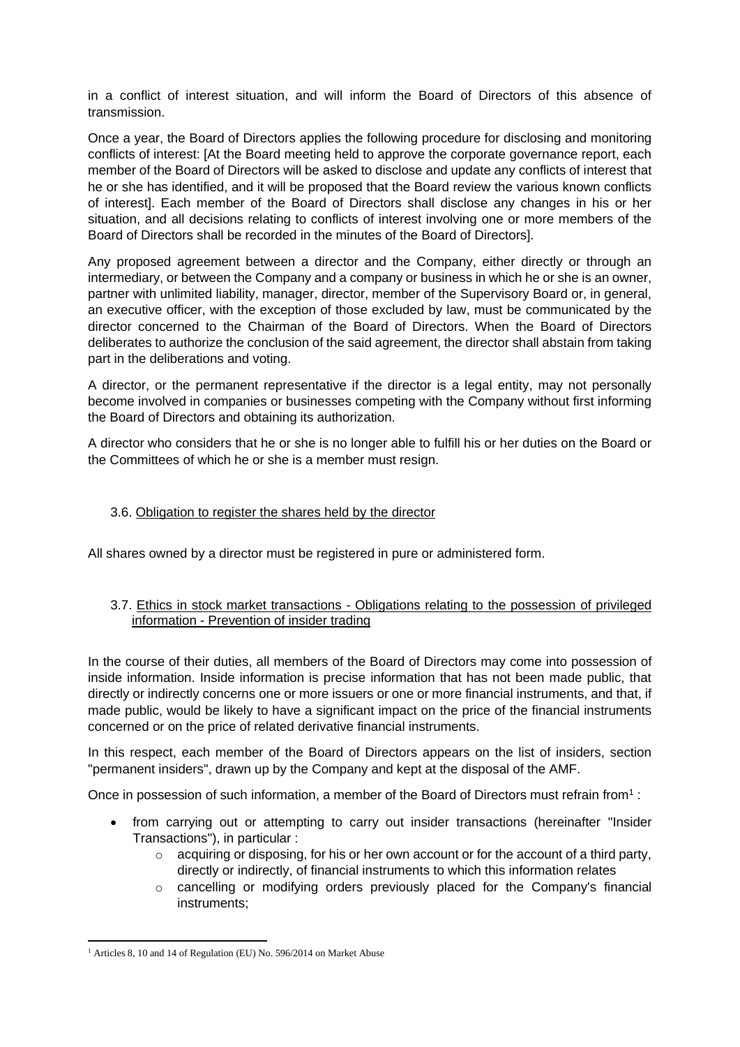in a conflict of interest situation, and will inform the Board of Directors of this absence of transmission.

Once a year, the Board of Directors applies the following procedure for disclosing and monitoring conflicts of interest: [At the Board meeting held to approve the corporate governance report, each member of the Board of Directors will be asked to disclose and update any conflicts of interest that he or she has identified, and it will be proposed that the Board review the various known conflicts of interest]. Each member of the Board of Directors shall disclose any changes in his or her situation, and all decisions relating to conflicts of interest involving one or more members of the Board of Directors shall be recorded in the minutes of the Board of Directors].

Any proposed agreement between a director and the Company, either directly or through an intermediary, or between the Company and a company or business in which he or she is an owner, partner with unlimited liability, manager, director, member of the Supervisory Board or, in general, an executive officer, with the exception of those excluded by law, must be communicated by the director concerned to the Chairman of the Board of Directors. When the Board of Directors deliberates to authorize the conclusion of the said agreement, the director shall abstain from taking part in the deliberations and voting.

A director, or the permanent representative if the director is a legal entity, may not personally become involved in companies or businesses competing with the Company without first informing the Board of Directors and obtaining its authorization.

A director who considers that he or she is no longer able to fulfill his or her duties on the Board or the Committees of which he or she is a member must resign.

## 3.6. Obligation to register the shares held by the director

All shares owned by a director must be registered in pure or administered form.

## 3.7. Ethics in stock market transactions - Obligations relating to the possession of privileged information - Prevention of insider trading

In the course of their duties, all members of the Board of Directors may come into possession of inside information. Inside information is precise information that has not been made public, that directly or indirectly concerns one or more issuers or one or more financial instruments, and that, if made public, would be likely to have a significant impact on the price of the financial instruments concerned or on the price of related derivative financial instruments.

In this respect, each member of the Board of Directors appears on the list of insiders, section "permanent insiders", drawn up by the Company and kept at the disposal of the AMF.

Once in possession of such information, a member of the Board of Directors must refrain from<sup>1</sup>:

- from carrying out or attempting to carry out insider transactions (hereinafter "Insider Transactions"), in particular :
	- $\circ$  acquiring or disposing, for his or her own account or for the account of a third party, directly or indirectly, of financial instruments to which this information relates
	- $\circ$  cancelling or modifying orders previously placed for the Company's financial instruments;

<sup>&</sup>lt;sup>1</sup> Articles 8, 10 and 14 of Regulation (EU) No. 596/2014 on Market Abuse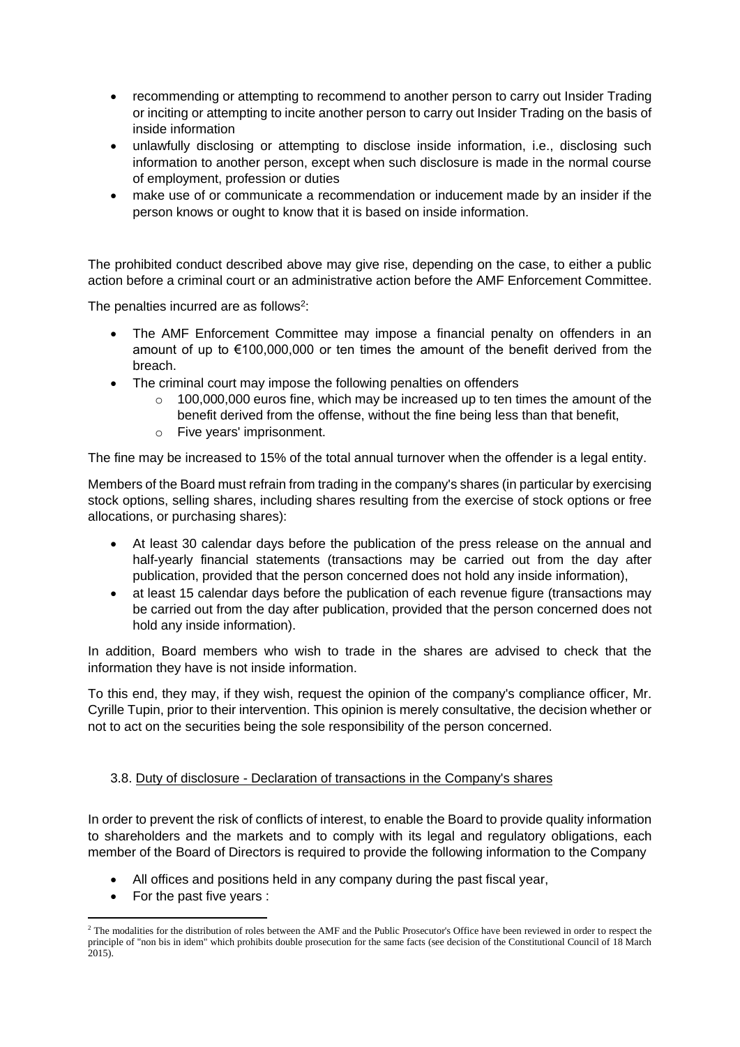- recommending or attempting to recommend to another person to carry out Insider Trading or inciting or attempting to incite another person to carry out Insider Trading on the basis of inside information
- unlawfully disclosing or attempting to disclose inside information, i.e., disclosing such information to another person, except when such disclosure is made in the normal course of employment, profession or duties
- make use of or communicate a recommendation or inducement made by an insider if the person knows or ought to know that it is based on inside information.

The prohibited conduct described above may give rise, depending on the case, to either a public action before a criminal court or an administrative action before the AMF Enforcement Committee.

The penalties incurred are as follows<sup>2</sup>:

- The AMF Enforcement Committee may impose a financial penalty on offenders in an amount of up to €100,000,000 or ten times the amount of the benefit derived from the breach.
- The criminal court may impose the following penalties on offenders
	- 100,000,000 euros fine, which may be increased up to ten times the amount of the benefit derived from the offense, without the fine being less than that benefit,
	- o Five years' imprisonment.

The fine may be increased to 15% of the total annual turnover when the offender is a legal entity.

Members of the Board must refrain from trading in the company's shares (in particular by exercising stock options, selling shares, including shares resulting from the exercise of stock options or free allocations, or purchasing shares):

- At least 30 calendar days before the publication of the press release on the annual and half-yearly financial statements (transactions may be carried out from the day after publication, provided that the person concerned does not hold any inside information),
- at least 15 calendar days before the publication of each revenue figure (transactions may be carried out from the day after publication, provided that the person concerned does not hold any inside information).

In addition, Board members who wish to trade in the shares are advised to check that the information they have is not inside information.

To this end, they may, if they wish, request the opinion of the company's compliance officer, Mr. Cyrille Tupin, prior to their intervention. This opinion is merely consultative, the decision whether or not to act on the securities being the sole responsibility of the person concerned.

## 3.8. Duty of disclosure - Declaration of transactions in the Company's shares

In order to prevent the risk of conflicts of interest, to enable the Board to provide quality information to shareholders and the markets and to comply with its legal and regulatory obligations, each member of the Board of Directors is required to provide the following information to the Company

- All offices and positions held in any company during the past fiscal year,
- For the past five years :

<sup>&</sup>lt;sup>2</sup> The modalities for the distribution of roles between the AMF and the Public Prosecutor's Office have been reviewed in order to respect the principle of "non bis in idem" which prohibits double prosecution for the same facts (see decision of the Constitutional Council of 18 March  $2015$ ).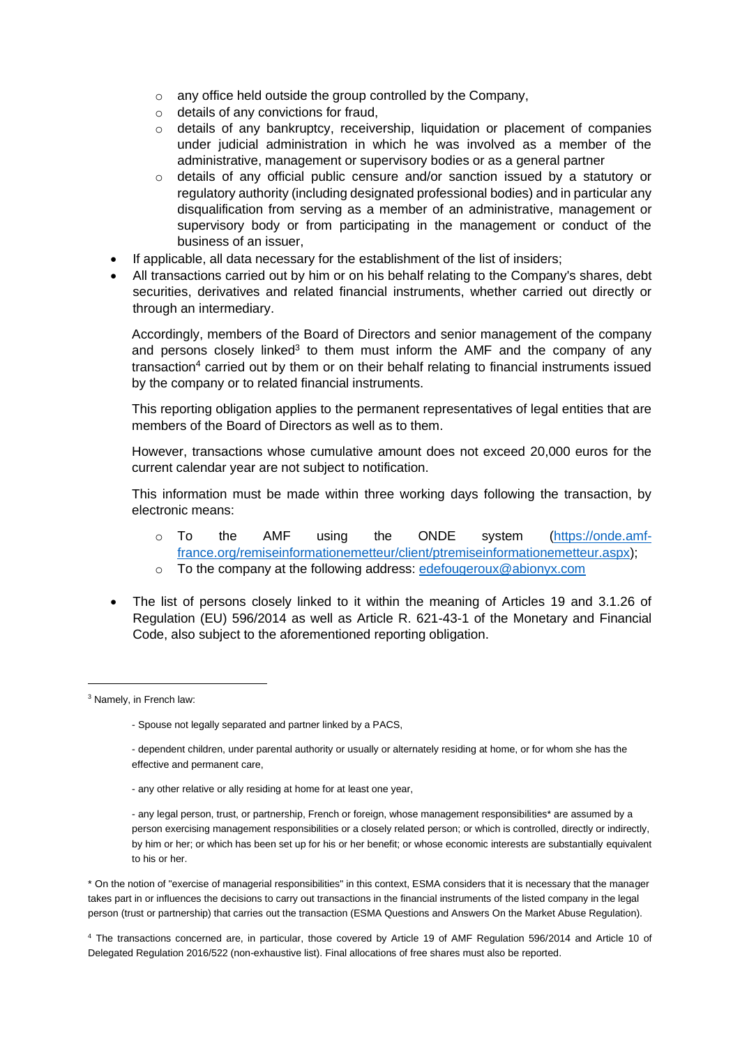- o any office held outside the group controlled by the Company,
- o details of any convictions for fraud,
- o details of any bankruptcy, receivership, liquidation or placement of companies under judicial administration in which he was involved as a member of the administrative, management or supervisory bodies or as a general partner
- o details of any official public censure and/or sanction issued by a statutory or regulatory authority (including designated professional bodies) and in particular any disqualification from serving as a member of an administrative, management or supervisory body or from participating in the management or conduct of the business of an issuer,
- If applicable, all data necessary for the establishment of the list of insiders;
- All transactions carried out by him or on his behalf relating to the Company's shares, debt securities, derivatives and related financial instruments, whether carried out directly or through an intermediary.

Accordingly, members of the Board of Directors and senior management of the company and persons closely linked<sup>3</sup> to them must inform the AMF and the company of any transaction<sup>4</sup> carried out by them or on their behalf relating to financial instruments issued by the company or to related financial instruments.

This reporting obligation applies to the permanent representatives of legal entities that are members of the Board of Directors as well as to them.

However, transactions whose cumulative amount does not exceed 20,000 euros for the current calendar year are not subject to notification.

This information must be made within three working days following the transaction, by electronic means:

- o To the AMF using the ONDE system [\(https://onde.amf](https://onde.amf-france.org/remiseinformationemetteur/client/ptremiseinformationemetteur.aspx)[france.org/remiseinformationemetteur/client/ptremiseinformationemetteur.aspx\)](https://onde.amf-france.org/remiseinformationemetteur/client/ptremiseinformationemetteur.aspx);
- o To the company at the following address: [edefougeroux@abionyx.com](mailto:edefougeroux@abionyx.com)
- The list of persons closely linked to it within the meaning of Articles 19 and 3.1.26 of Regulation (EU) 596/2014 as well as Article R. 621-43-1 of the Monetary and Financial Code, also subject to the aforementioned reporting obligation.

- any other relative or ally residing at home for at least one year,

\* On the notion of "exercise of managerial responsibilities" in this context, ESMA considers that it is necessary that the manager takes part in or influences the decisions to carry out transactions in the financial instruments of the listed company in the legal person (trust or partnership) that carries out the transaction (ESMA Questions and Answers On the Market Abuse Regulation).

<sup>4</sup> The transactions concerned are, in particular, those covered by Article 19 of AMF Regulation 596/2014 and Article 10 of Delegated Regulation 2016/522 (non-exhaustive list). Final allocations of free shares must also be reported.

<sup>&</sup>lt;sup>3</sup> Namely, in French law:

<sup>-</sup> Spouse not legally separated and partner linked by a PACS,

<sup>-</sup> dependent children, under parental authority or usually or alternately residing at home, or for whom she has the effective and permanent care,

<sup>-</sup> any legal person, trust, or partnership, French or foreign, whose management responsibilities\* are assumed by a person exercising management responsibilities or a closely related person; or which is controlled, directly or indirectly, by him or her; or which has been set up for his or her benefit; or whose economic interests are substantially equivalent to his or her.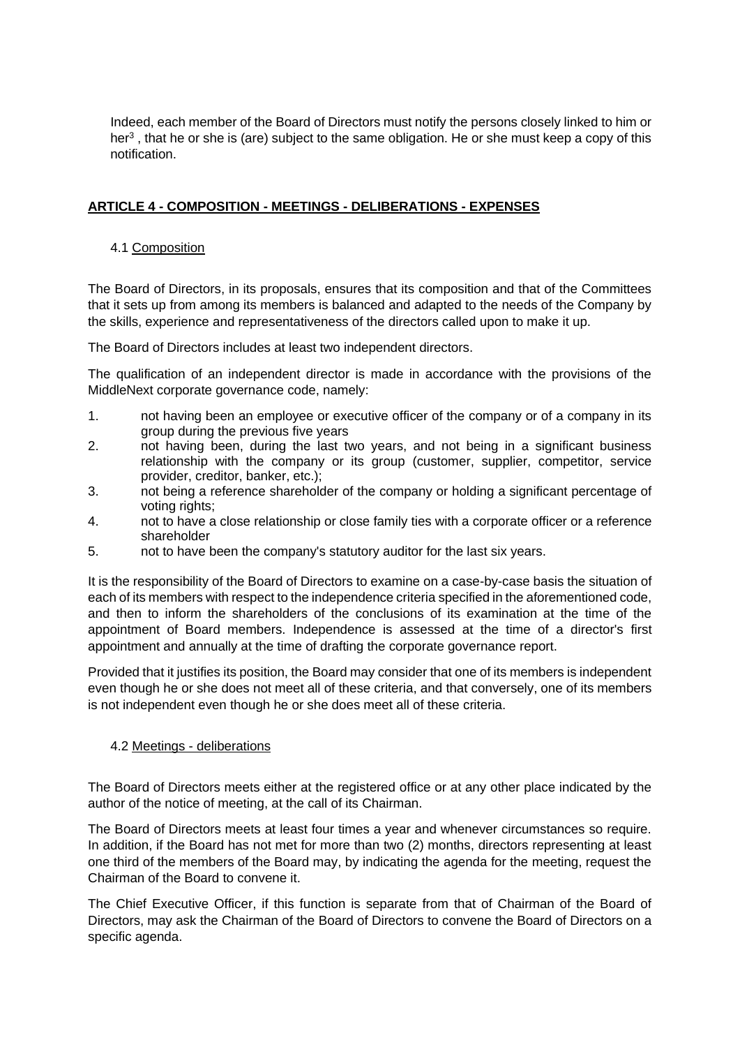Indeed, each member of the Board of Directors must notify the persons closely linked to him or her<sup>3</sup>, that he or she is (are) subject to the same obligation. He or she must keep a copy of this notification.

# **ARTICLE 4 - COMPOSITION - MEETINGS - DELIBERATIONS - EXPENSES**

# 4.1 Composition

The Board of Directors, in its proposals, ensures that its composition and that of the Committees that it sets up from among its members is balanced and adapted to the needs of the Company by the skills, experience and representativeness of the directors called upon to make it up.

The Board of Directors includes at least two independent directors.

The qualification of an independent director is made in accordance with the provisions of the MiddleNext corporate governance code, namely:

- 1. not having been an employee or executive officer of the company or of a company in its group during the previous five years
- 2. not having been, during the last two years, and not being in a significant business relationship with the company or its group (customer, supplier, competitor, service provider, creditor, banker, etc.);
- 3. not being a reference shareholder of the company or holding a significant percentage of voting rights:
- 4. not to have a close relationship or close family ties with a corporate officer or a reference shareholder
- 5. not to have been the company's statutory auditor for the last six years.

It is the responsibility of the Board of Directors to examine on a case-by-case basis the situation of each of its members with respect to the independence criteria specified in the aforementioned code, and then to inform the shareholders of the conclusions of its examination at the time of the appointment of Board members. Independence is assessed at the time of a director's first appointment and annually at the time of drafting the corporate governance report.

Provided that it justifies its position, the Board may consider that one of its members is independent even though he or she does not meet all of these criteria, and that conversely, one of its members is not independent even though he or she does meet all of these criteria.

## 4.2 Meetings - deliberations

The Board of Directors meets either at the registered office or at any other place indicated by the author of the notice of meeting, at the call of its Chairman.

The Board of Directors meets at least four times a year and whenever circumstances so require. In addition, if the Board has not met for more than two (2) months, directors representing at least one third of the members of the Board may, by indicating the agenda for the meeting, request the Chairman of the Board to convene it.

The Chief Executive Officer, if this function is separate from that of Chairman of the Board of Directors, may ask the Chairman of the Board of Directors to convene the Board of Directors on a specific agenda.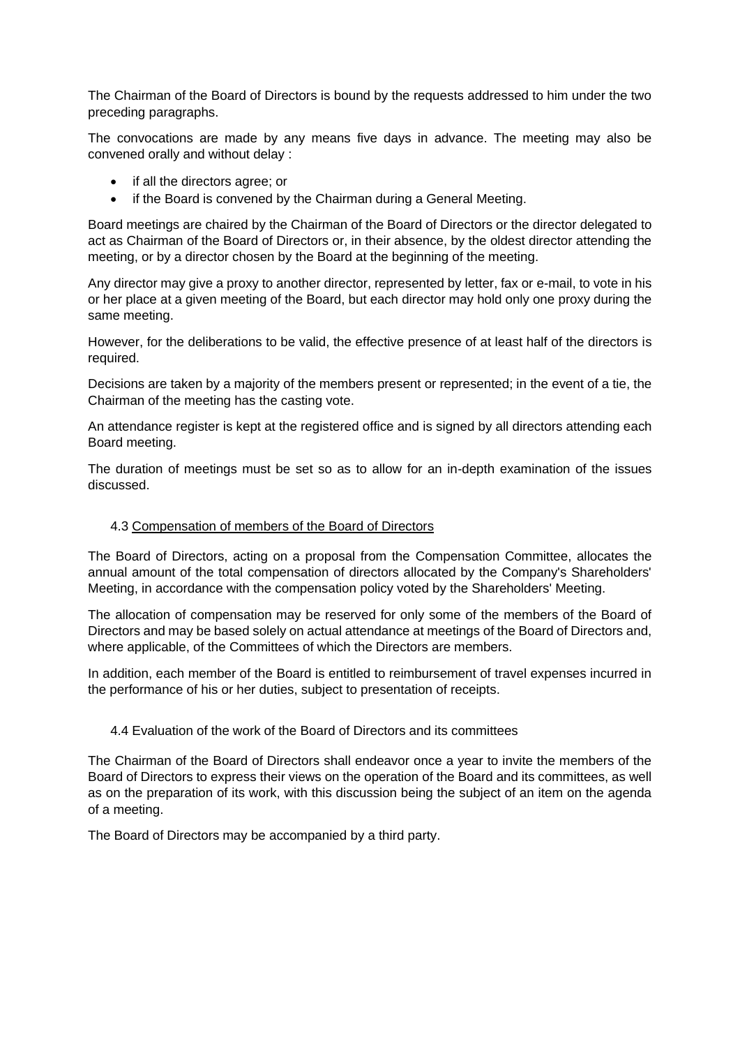The Chairman of the Board of Directors is bound by the requests addressed to him under the two preceding paragraphs.

The convocations are made by any means five days in advance. The meeting may also be convened orally and without delay :

- if all the directors agree; or
- if the Board is convened by the Chairman during a General Meeting.

Board meetings are chaired by the Chairman of the Board of Directors or the director delegated to act as Chairman of the Board of Directors or, in their absence, by the oldest director attending the meeting, or by a director chosen by the Board at the beginning of the meeting.

Any director may give a proxy to another director, represented by letter, fax or e-mail, to vote in his or her place at a given meeting of the Board, but each director may hold only one proxy during the same meeting.

However, for the deliberations to be valid, the effective presence of at least half of the directors is required.

Decisions are taken by a majority of the members present or represented; in the event of a tie, the Chairman of the meeting has the casting vote.

An attendance register is kept at the registered office and is signed by all directors attending each Board meeting.

The duration of meetings must be set so as to allow for an in-depth examination of the issues discussed.

## 4.3 Compensation of members of the Board of Directors

The Board of Directors, acting on a proposal from the Compensation Committee, allocates the annual amount of the total compensation of directors allocated by the Company's Shareholders' Meeting, in accordance with the compensation policy voted by the Shareholders' Meeting.

The allocation of compensation may be reserved for only some of the members of the Board of Directors and may be based solely on actual attendance at meetings of the Board of Directors and, where applicable, of the Committees of which the Directors are members.

In addition, each member of the Board is entitled to reimbursement of travel expenses incurred in the performance of his or her duties, subject to presentation of receipts.

## 4.4 Evaluation of the work of the Board of Directors and its committees

The Chairman of the Board of Directors shall endeavor once a year to invite the members of the Board of Directors to express their views on the operation of the Board and its committees, as well as on the preparation of its work, with this discussion being the subject of an item on the agenda of a meeting.

The Board of Directors may be accompanied by a third party.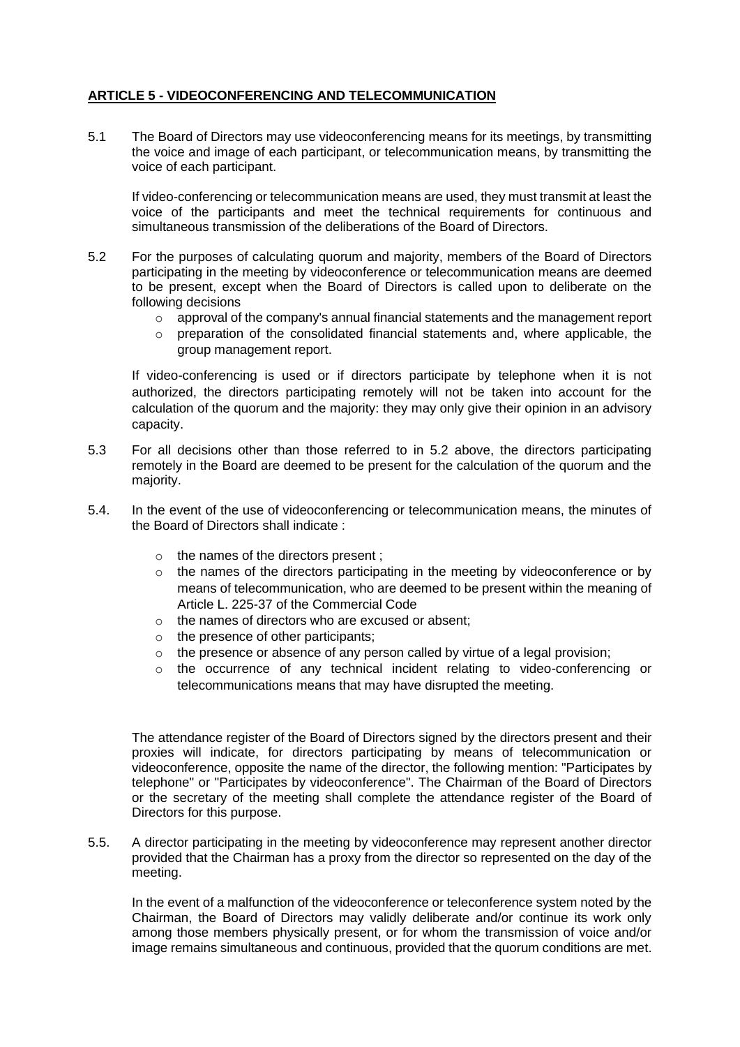# **ARTICLE 5 - VIDEOCONFERENCING AND TELECOMMUNICATION**

5.1 The Board of Directors may use videoconferencing means for its meetings, by transmitting the voice and image of each participant, or telecommunication means, by transmitting the voice of each participant.

If video-conferencing or telecommunication means are used, they must transmit at least the voice of the participants and meet the technical requirements for continuous and simultaneous transmission of the deliberations of the Board of Directors.

- 5.2 For the purposes of calculating quorum and majority, members of the Board of Directors participating in the meeting by videoconference or telecommunication means are deemed to be present, except when the Board of Directors is called upon to deliberate on the following decisions
	- $\circ$  approval of the company's annual financial statements and the management report
	- o preparation of the consolidated financial statements and, where applicable, the group management report.

If video-conferencing is used or if directors participate by telephone when it is not authorized, the directors participating remotely will not be taken into account for the calculation of the quorum and the majority: they may only give their opinion in an advisory capacity.

- 5.3 For all decisions other than those referred to in 5.2 above, the directors participating remotely in the Board are deemed to be present for the calculation of the quorum and the majority.
- 5.4. In the event of the use of videoconferencing or telecommunication means, the minutes of the Board of Directors shall indicate :
	- o the names of the directors present ;
	- $\circ$  the names of the directors participating in the meeting by videoconference or by means of telecommunication, who are deemed to be present within the meaning of Article L. 225-37 of the Commercial Code
	- o the names of directors who are excused or absent;
	- o the presence of other participants;
	- $\circ$  the presence or absence of any person called by virtue of a legal provision;
	- o the occurrence of any technical incident relating to video-conferencing or telecommunications means that may have disrupted the meeting.

The attendance register of the Board of Directors signed by the directors present and their proxies will indicate, for directors participating by means of telecommunication or videoconference, opposite the name of the director, the following mention: "Participates by telephone" or "Participates by videoconference". The Chairman of the Board of Directors or the secretary of the meeting shall complete the attendance register of the Board of Directors for this purpose.

5.5. A director participating in the meeting by videoconference may represent another director provided that the Chairman has a proxy from the director so represented on the day of the meeting.

In the event of a malfunction of the videoconference or teleconference system noted by the Chairman, the Board of Directors may validly deliberate and/or continue its work only among those members physically present, or for whom the transmission of voice and/or image remains simultaneous and continuous, provided that the quorum conditions are met.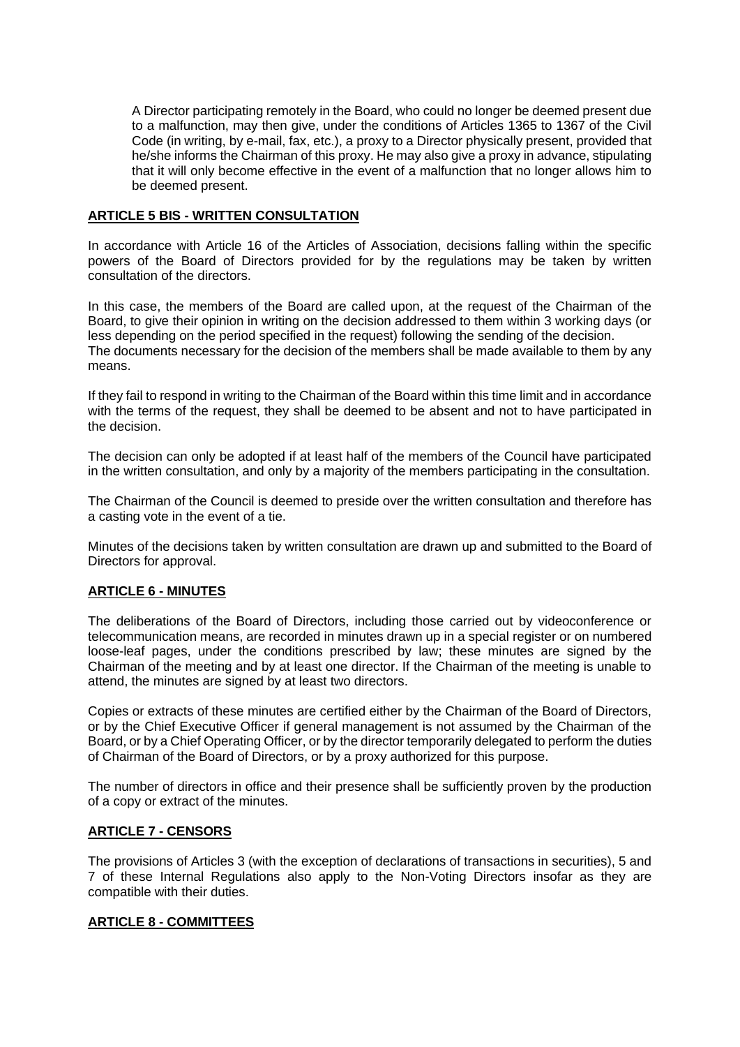A Director participating remotely in the Board, who could no longer be deemed present due to a malfunction, may then give, under the conditions of Articles 1365 to 1367 of the Civil Code (in writing, by e-mail, fax, etc.), a proxy to a Director physically present, provided that he/she informs the Chairman of this proxy. He may also give a proxy in advance, stipulating that it will only become effective in the event of a malfunction that no longer allows him to be deemed present.

## **ARTICLE 5 BIS - WRITTEN CONSULTATION**

In accordance with Article 16 of the Articles of Association, decisions falling within the specific powers of the Board of Directors provided for by the regulations may be taken by written consultation of the directors.

In this case, the members of the Board are called upon, at the request of the Chairman of the Board, to give their opinion in writing on the decision addressed to them within 3 working days (or less depending on the period specified in the request) following the sending of the decision. The documents necessary for the decision of the members shall be made available to them by any means.

If they fail to respond in writing to the Chairman of the Board within this time limit and in accordance with the terms of the request, they shall be deemed to be absent and not to have participated in the decision.

The decision can only be adopted if at least half of the members of the Council have participated in the written consultation, and only by a majority of the members participating in the consultation.

The Chairman of the Council is deemed to preside over the written consultation and therefore has a casting vote in the event of a tie.

Minutes of the decisions taken by written consultation are drawn up and submitted to the Board of Directors for approval.

## **ARTICLE 6 - MINUTES**

The deliberations of the Board of Directors, including those carried out by videoconference or telecommunication means, are recorded in minutes drawn up in a special register or on numbered loose-leaf pages, under the conditions prescribed by law; these minutes are signed by the Chairman of the meeting and by at least one director. If the Chairman of the meeting is unable to attend, the minutes are signed by at least two directors.

Copies or extracts of these minutes are certified either by the Chairman of the Board of Directors, or by the Chief Executive Officer if general management is not assumed by the Chairman of the Board, or by a Chief Operating Officer, or by the director temporarily delegated to perform the duties of Chairman of the Board of Directors, or by a proxy authorized for this purpose.

The number of directors in office and their presence shall be sufficiently proven by the production of a copy or extract of the minutes.

## **ARTICLE 7 - CENSORS**

The provisions of Articles 3 (with the exception of declarations of transactions in securities), 5 and 7 of these Internal Regulations also apply to the Non-Voting Directors insofar as they are compatible with their duties.

## **ARTICLE 8 - COMMITTEES**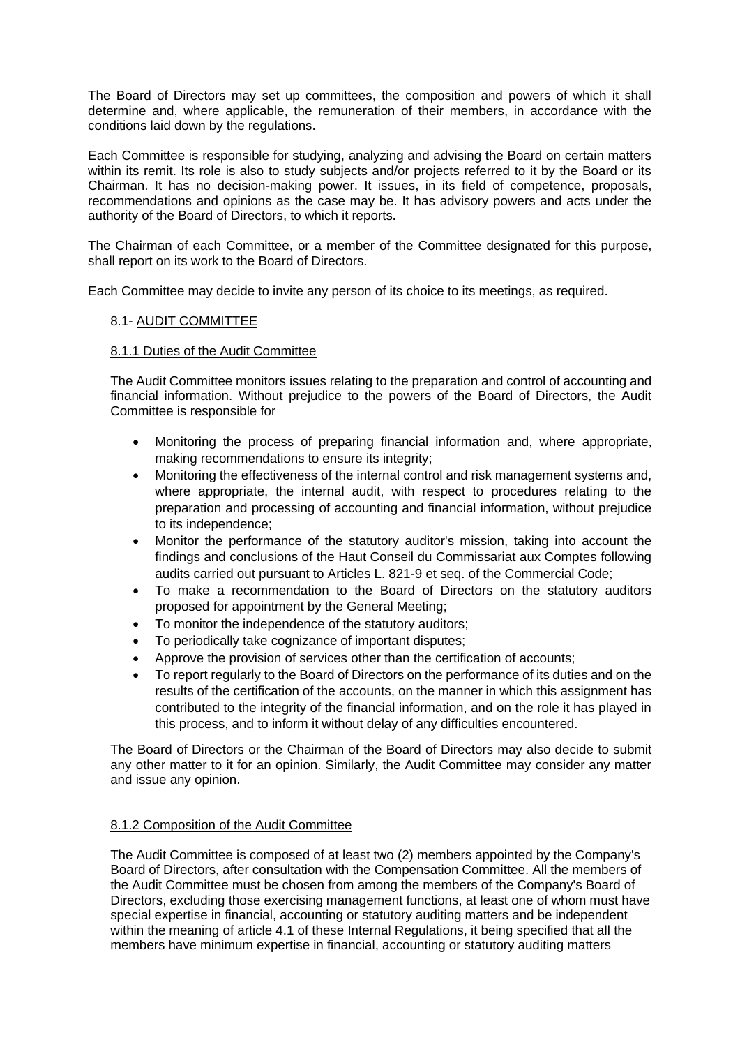The Board of Directors may set up committees, the composition and powers of which it shall determine and, where applicable, the remuneration of their members, in accordance with the conditions laid down by the regulations.

Each Committee is responsible for studying, analyzing and advising the Board on certain matters within its remit. Its role is also to study subjects and/or projects referred to it by the Board or its Chairman. It has no decision-making power. It issues, in its field of competence, proposals, recommendations and opinions as the case may be. It has advisory powers and acts under the authority of the Board of Directors, to which it reports.

The Chairman of each Committee, or a member of the Committee designated for this purpose, shall report on its work to the Board of Directors.

Each Committee may decide to invite any person of its choice to its meetings, as required.

## 8.1- AUDIT COMMITTEE

#### 8.1.1 Duties of the Audit Committee

The Audit Committee monitors issues relating to the preparation and control of accounting and financial information. Without prejudice to the powers of the Board of Directors, the Audit Committee is responsible for

- Monitoring the process of preparing financial information and, where appropriate, making recommendations to ensure its integrity;
- Monitoring the effectiveness of the internal control and risk management systems and, where appropriate, the internal audit, with respect to procedures relating to the preparation and processing of accounting and financial information, without prejudice to its independence;
- Monitor the performance of the statutory auditor's mission, taking into account the findings and conclusions of the Haut Conseil du Commissariat aux Comptes following audits carried out pursuant to Articles L. 821-9 et seq. of the Commercial Code;
- To make a recommendation to the Board of Directors on the statutory auditors proposed for appointment by the General Meeting;
- To monitor the independence of the statutory auditors;
- To periodically take cognizance of important disputes:
- Approve the provision of services other than the certification of accounts;
- To report regularly to the Board of Directors on the performance of its duties and on the results of the certification of the accounts, on the manner in which this assignment has contributed to the integrity of the financial information, and on the role it has played in this process, and to inform it without delay of any difficulties encountered.

The Board of Directors or the Chairman of the Board of Directors may also decide to submit any other matter to it for an opinion. Similarly, the Audit Committee may consider any matter and issue any opinion.

## 8.1.2 Composition of the Audit Committee

The Audit Committee is composed of at least two (2) members appointed by the Company's Board of Directors, after consultation with the Compensation Committee. All the members of the Audit Committee must be chosen from among the members of the Company's Board of Directors, excluding those exercising management functions, at least one of whom must have special expertise in financial, accounting or statutory auditing matters and be independent within the meaning of article 4.1 of these Internal Regulations, it being specified that all the members have minimum expertise in financial, accounting or statutory auditing matters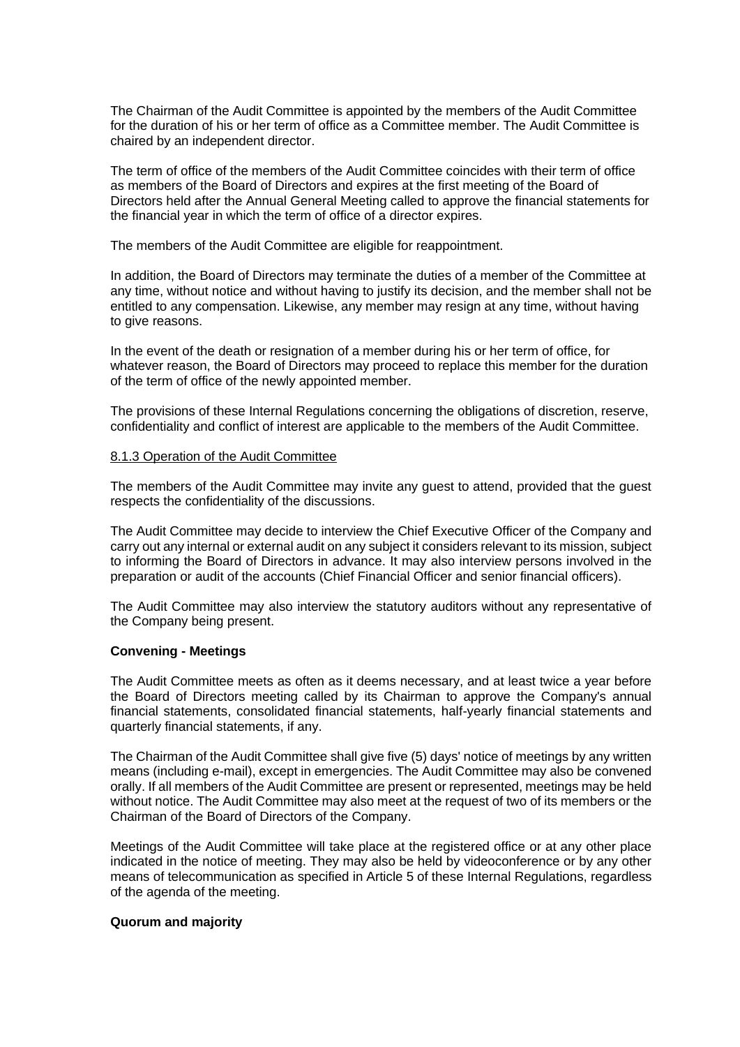The Chairman of the Audit Committee is appointed by the members of the Audit Committee for the duration of his or her term of office as a Committee member. The Audit Committee is chaired by an independent director.

The term of office of the members of the Audit Committee coincides with their term of office as members of the Board of Directors and expires at the first meeting of the Board of Directors held after the Annual General Meeting called to approve the financial statements for the financial year in which the term of office of a director expires.

The members of the Audit Committee are eligible for reappointment.

In addition, the Board of Directors may terminate the duties of a member of the Committee at any time, without notice and without having to justify its decision, and the member shall not be entitled to any compensation. Likewise, any member may resign at any time, without having to give reasons.

In the event of the death or resignation of a member during his or her term of office, for whatever reason, the Board of Directors may proceed to replace this member for the duration of the term of office of the newly appointed member.

The provisions of these Internal Regulations concerning the obligations of discretion, reserve, confidentiality and conflict of interest are applicable to the members of the Audit Committee.

## 8.1.3 Operation of the Audit Committee

The members of the Audit Committee may invite any guest to attend, provided that the guest respects the confidentiality of the discussions.

The Audit Committee may decide to interview the Chief Executive Officer of the Company and carry out any internal or external audit on any subject it considers relevant to its mission, subject to informing the Board of Directors in advance. It may also interview persons involved in the preparation or audit of the accounts (Chief Financial Officer and senior financial officers).

The Audit Committee may also interview the statutory auditors without any representative of the Company being present.

## **Convening - Meetings**

The Audit Committee meets as often as it deems necessary, and at least twice a year before the Board of Directors meeting called by its Chairman to approve the Company's annual financial statements, consolidated financial statements, half-yearly financial statements and quarterly financial statements, if any.

The Chairman of the Audit Committee shall give five (5) days' notice of meetings by any written means (including e-mail), except in emergencies. The Audit Committee may also be convened orally. If all members of the Audit Committee are present or represented, meetings may be held without notice. The Audit Committee may also meet at the request of two of its members or the Chairman of the Board of Directors of the Company.

Meetings of the Audit Committee will take place at the registered office or at any other place indicated in the notice of meeting. They may also be held by videoconference or by any other means of telecommunication as specified in Article 5 of these Internal Regulations, regardless of the agenda of the meeting.

## **Quorum and majority**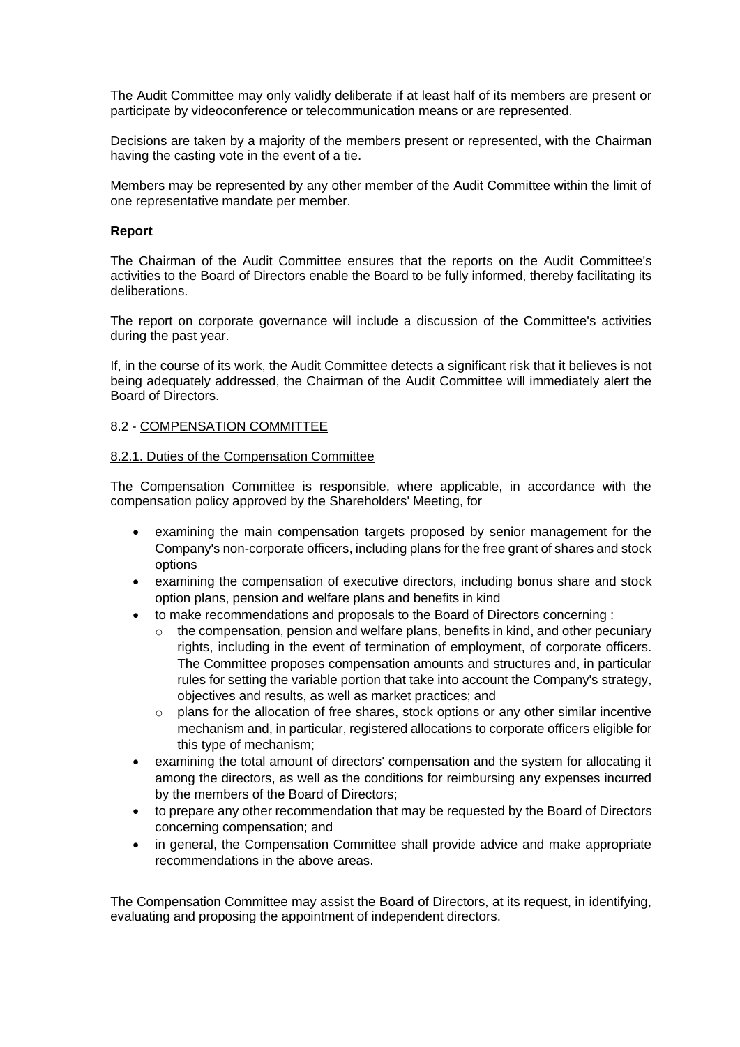The Audit Committee may only validly deliberate if at least half of its members are present or participate by videoconference or telecommunication means or are represented.

Decisions are taken by a majority of the members present or represented, with the Chairman having the casting vote in the event of a tie.

Members may be represented by any other member of the Audit Committee within the limit of one representative mandate per member.

#### **Report**

The Chairman of the Audit Committee ensures that the reports on the Audit Committee's activities to the Board of Directors enable the Board to be fully informed, thereby facilitating its deliberations.

The report on corporate governance will include a discussion of the Committee's activities during the past year.

If, in the course of its work, the Audit Committee detects a significant risk that it believes is not being adequately addressed, the Chairman of the Audit Committee will immediately alert the Board of Directors.

#### 8.2 - COMPENSATION COMMITTEE

#### 8.2.1. Duties of the Compensation Committee

The Compensation Committee is responsible, where applicable, in accordance with the compensation policy approved by the Shareholders' Meeting, for

- examining the main compensation targets proposed by senior management for the Company's non-corporate officers, including plans for the free grant of shares and stock options
- examining the compensation of executive directors, including bonus share and stock option plans, pension and welfare plans and benefits in kind
- to make recommendations and proposals to the Board of Directors concerning :
	- $\circ$  the compensation, pension and welfare plans, benefits in kind, and other pecuniary rights, including in the event of termination of employment, of corporate officers. The Committee proposes compensation amounts and structures and, in particular rules for setting the variable portion that take into account the Company's strategy, objectives and results, as well as market practices; and
	- $\circ$  plans for the allocation of free shares, stock options or any other similar incentive mechanism and, in particular, registered allocations to corporate officers eligible for this type of mechanism;
- examining the total amount of directors' compensation and the system for allocating it among the directors, as well as the conditions for reimbursing any expenses incurred by the members of the Board of Directors;
- to prepare any other recommendation that may be requested by the Board of Directors concerning compensation; and
- in general, the Compensation Committee shall provide advice and make appropriate recommendations in the above areas.

The Compensation Committee may assist the Board of Directors, at its request, in identifying, evaluating and proposing the appointment of independent directors.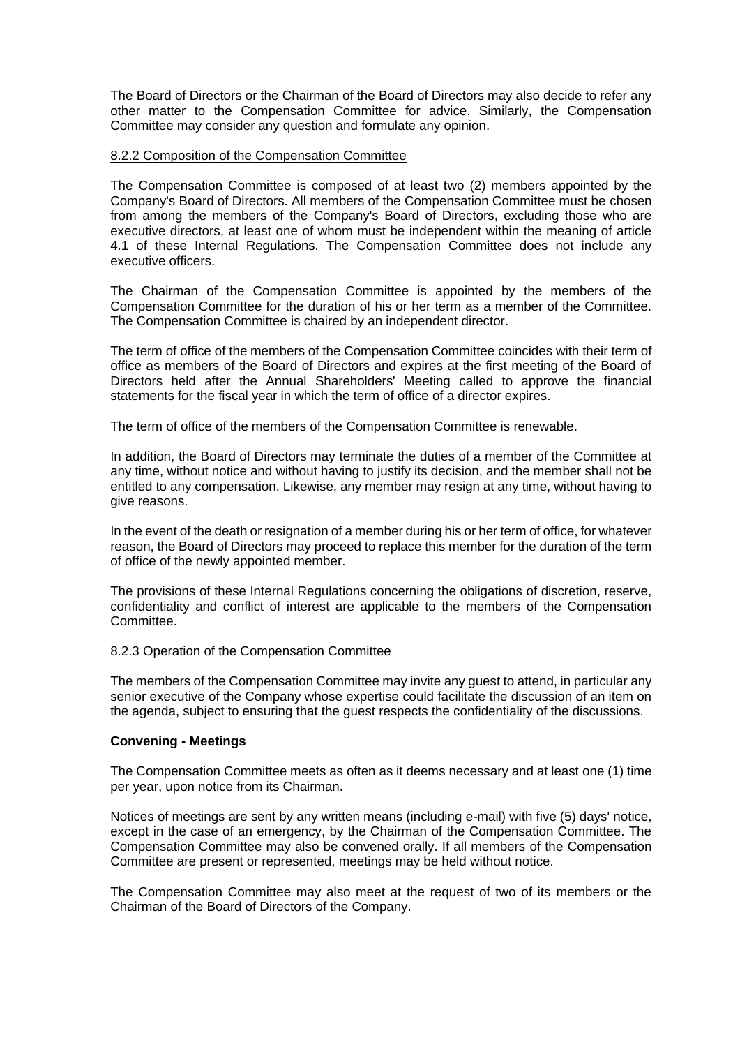The Board of Directors or the Chairman of the Board of Directors may also decide to refer any other matter to the Compensation Committee for advice. Similarly, the Compensation Committee may consider any question and formulate any opinion.

### 8.2.2 Composition of the Compensation Committee

The Compensation Committee is composed of at least two (2) members appointed by the Company's Board of Directors. All members of the Compensation Committee must be chosen from among the members of the Company's Board of Directors, excluding those who are executive directors, at least one of whom must be independent within the meaning of article 4.1 of these Internal Regulations. The Compensation Committee does not include any executive officers.

The Chairman of the Compensation Committee is appointed by the members of the Compensation Committee for the duration of his or her term as a member of the Committee. The Compensation Committee is chaired by an independent director.

The term of office of the members of the Compensation Committee coincides with their term of office as members of the Board of Directors and expires at the first meeting of the Board of Directors held after the Annual Shareholders' Meeting called to approve the financial statements for the fiscal year in which the term of office of a director expires.

The term of office of the members of the Compensation Committee is renewable.

In addition, the Board of Directors may terminate the duties of a member of the Committee at any time, without notice and without having to justify its decision, and the member shall not be entitled to any compensation. Likewise, any member may resign at any time, without having to give reasons.

In the event of the death or resignation of a member during his or her term of office, for whatever reason, the Board of Directors may proceed to replace this member for the duration of the term of office of the newly appointed member.

The provisions of these Internal Regulations concerning the obligations of discretion, reserve, confidentiality and conflict of interest are applicable to the members of the Compensation Committee.

## 8.2.3 Operation of the Compensation Committee

The members of the Compensation Committee may invite any guest to attend, in particular any senior executive of the Company whose expertise could facilitate the discussion of an item on the agenda, subject to ensuring that the guest respects the confidentiality of the discussions.

## **Convening - Meetings**

The Compensation Committee meets as often as it deems necessary and at least one (1) time per year, upon notice from its Chairman.

Notices of meetings are sent by any written means (including e-mail) with five (5) days' notice, except in the case of an emergency, by the Chairman of the Compensation Committee. The Compensation Committee may also be convened orally. If all members of the Compensation Committee are present or represented, meetings may be held without notice.

The Compensation Committee may also meet at the request of two of its members or the Chairman of the Board of Directors of the Company.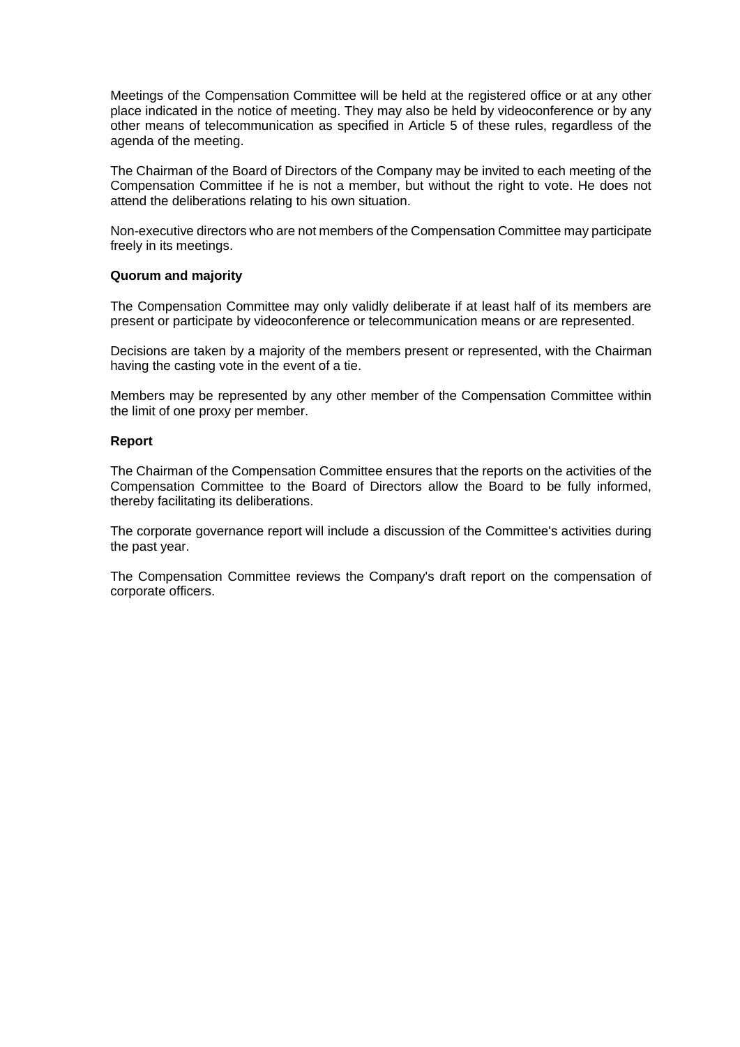Meetings of the Compensation Committee will be held at the registered office or at any other place indicated in the notice of meeting. They may also be held by videoconference or by any other means of telecommunication as specified in Article 5 of these rules, regardless of the agenda of the meeting.

The Chairman of the Board of Directors of the Company may be invited to each meeting of the Compensation Committee if he is not a member, but without the right to vote. He does not attend the deliberations relating to his own situation.

Non-executive directors who are not members of the Compensation Committee may participate freely in its meetings.

#### **Quorum and majority**

The Compensation Committee may only validly deliberate if at least half of its members are present or participate by videoconference or telecommunication means or are represented.

Decisions are taken by a majority of the members present or represented, with the Chairman having the casting vote in the event of a tie.

Members may be represented by any other member of the Compensation Committee within the limit of one proxy per member.

### **Report**

The Chairman of the Compensation Committee ensures that the reports on the activities of the Compensation Committee to the Board of Directors allow the Board to be fully informed, thereby facilitating its deliberations.

The corporate governance report will include a discussion of the Committee's activities during the past year.

The Compensation Committee reviews the Company's draft report on the compensation of corporate officers.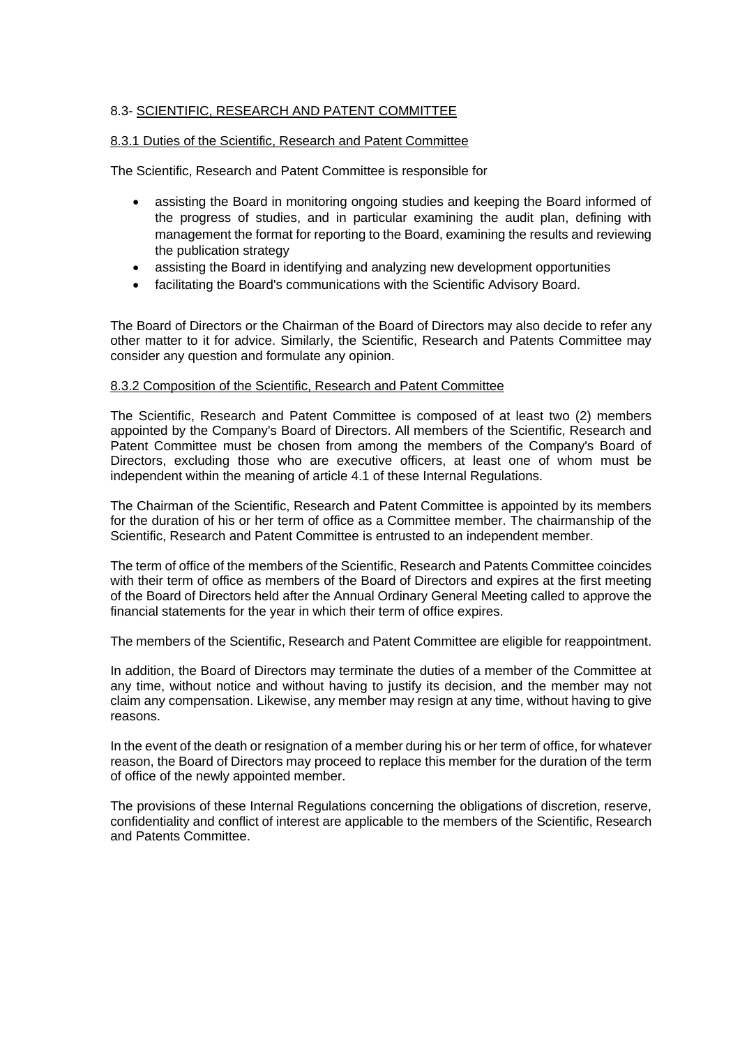## 8.3- SCIENTIFIC, RESEARCH AND PATENT COMMITTEE

### 8.3.1 Duties of the Scientific, Research and Patent Committee

The Scientific, Research and Patent Committee is responsible for

- assisting the Board in monitoring ongoing studies and keeping the Board informed of the progress of studies, and in particular examining the audit plan, defining with management the format for reporting to the Board, examining the results and reviewing the publication strategy
- assisting the Board in identifying and analyzing new development opportunities
- facilitating the Board's communications with the Scientific Advisory Board.

The Board of Directors or the Chairman of the Board of Directors may also decide to refer any other matter to it for advice. Similarly, the Scientific, Research and Patents Committee may consider any question and formulate any opinion.

#### 8.3.2 Composition of the Scientific, Research and Patent Committee

The Scientific, Research and Patent Committee is composed of at least two (2) members appointed by the Company's Board of Directors. All members of the Scientific, Research and Patent Committee must be chosen from among the members of the Company's Board of Directors, excluding those who are executive officers, at least one of whom must be independent within the meaning of article 4.1 of these Internal Regulations.

The Chairman of the Scientific, Research and Patent Committee is appointed by its members for the duration of his or her term of office as a Committee member. The chairmanship of the Scientific, Research and Patent Committee is entrusted to an independent member.

The term of office of the members of the Scientific, Research and Patents Committee coincides with their term of office as members of the Board of Directors and expires at the first meeting of the Board of Directors held after the Annual Ordinary General Meeting called to approve the financial statements for the year in which their term of office expires.

The members of the Scientific, Research and Patent Committee are eligible for reappointment.

In addition, the Board of Directors may terminate the duties of a member of the Committee at any time, without notice and without having to justify its decision, and the member may not claim any compensation. Likewise, any member may resign at any time, without having to give reasons.

In the event of the death or resignation of a member during his or her term of office, for whatever reason, the Board of Directors may proceed to replace this member for the duration of the term of office of the newly appointed member.

The provisions of these Internal Regulations concerning the obligations of discretion, reserve, confidentiality and conflict of interest are applicable to the members of the Scientific, Research and Patents Committee.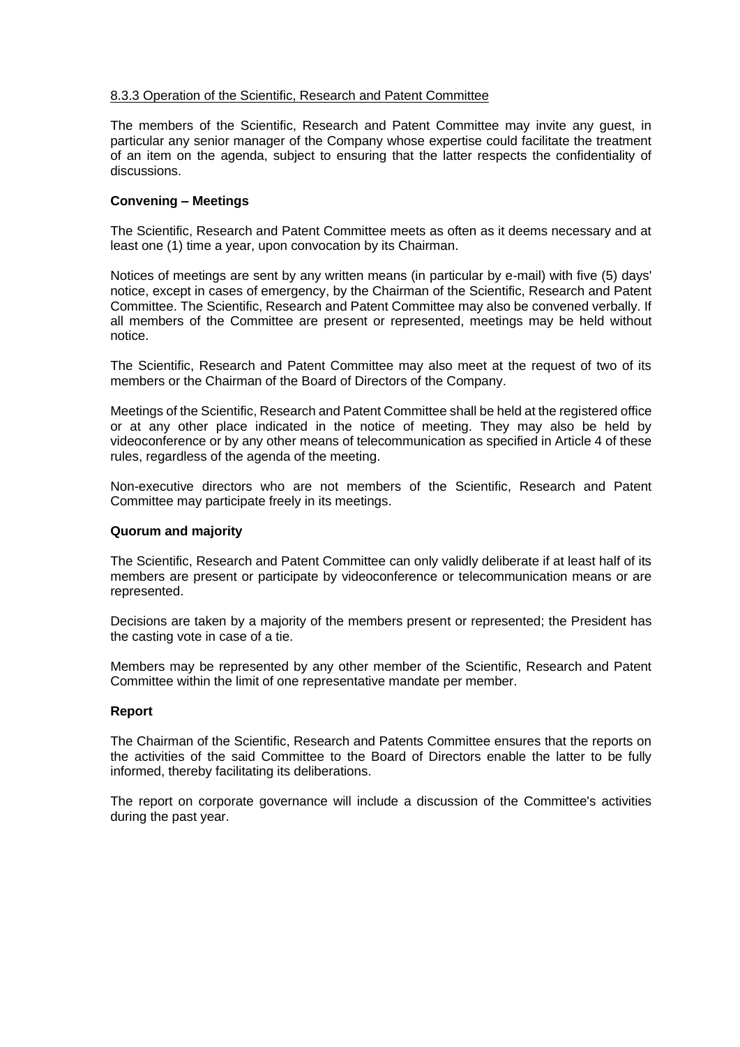## 8.3.3 Operation of the Scientific, Research and Patent Committee

The members of the Scientific, Research and Patent Committee may invite any guest, in particular any senior manager of the Company whose expertise could facilitate the treatment of an item on the agenda, subject to ensuring that the latter respects the confidentiality of discussions.

## **Convening – Meetings**

The Scientific, Research and Patent Committee meets as often as it deems necessary and at least one (1) time a year, upon convocation by its Chairman.

Notices of meetings are sent by any written means (in particular by e-mail) with five (5) days' notice, except in cases of emergency, by the Chairman of the Scientific, Research and Patent Committee. The Scientific, Research and Patent Committee may also be convened verbally. If all members of the Committee are present or represented, meetings may be held without notice.

The Scientific, Research and Patent Committee may also meet at the request of two of its members or the Chairman of the Board of Directors of the Company.

Meetings of the Scientific, Research and Patent Committee shall be held at the registered office or at any other place indicated in the notice of meeting. They may also be held by videoconference or by any other means of telecommunication as specified in Article 4 of these rules, regardless of the agenda of the meeting.

Non-executive directors who are not members of the Scientific, Research and Patent Committee may participate freely in its meetings.

## **Quorum and majority**

The Scientific, Research and Patent Committee can only validly deliberate if at least half of its members are present or participate by videoconference or telecommunication means or are represented.

Decisions are taken by a majority of the members present or represented; the President has the casting vote in case of a tie.

Members may be represented by any other member of the Scientific, Research and Patent Committee within the limit of one representative mandate per member.

#### **Report**

The Chairman of the Scientific, Research and Patents Committee ensures that the reports on the activities of the said Committee to the Board of Directors enable the latter to be fully informed, thereby facilitating its deliberations.

The report on corporate governance will include a discussion of the Committee's activities during the past year.